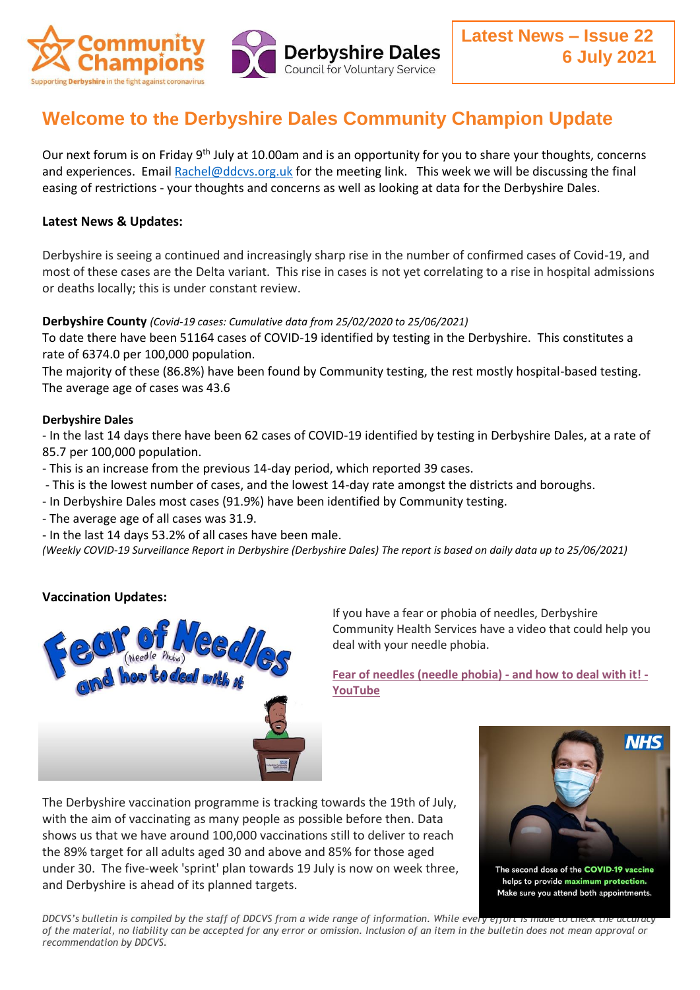

# **Welcome to the Derbyshire Dales Community Champion Update**

Our next forum is on Friday 9<sup>th</sup> July at 10.00am and is an opportunity for you to share your thoughts, concerns and experiences. Email [Rachel@ddcvs.org.uk](mailto:Rachel@ddcvs.org.uk) for the meeting link. This week we will be discussing the final easing of restrictions - your thoughts and concerns as well as looking at data for the Derbyshire Dales.

## **Latest News & Updates:**

Derbyshire is seeing a continued and increasingly sharp rise in the number of confirmed cases of Covid-19, and most of these cases are the Delta variant. This rise in cases is not yet correlating to a rise in hospital admissions or deaths locally; this is under constant review.

#### **Derbyshire County** *(Covid-19 cases: Cumulative data from 25/02/2020 to 25/06/2021)*

To date there have been 51164 cases of COVID-19 identified by testing in the Derbyshire. This constitutes a rate of 6374.0 per 100,000 population.

The majority of these (86.8%) have been found by Community testing, the rest mostly hospital-based testing. The average age of cases was 43.6

### **Derbyshire Dales**

- In the last 14 days there have been 62 cases of COVID-19 identified by testing in Derbyshire Dales, at a rate of 85.7 per 100,000 population.

- This is an increase from the previous 14-day period, which reported 39 cases.

- This is the lowest number of cases, and the lowest 14-day rate amongst the districts and boroughs.

- In Derbyshire Dales most cases (91.9%) have been identified by Community testing.
- The average age of all cases was 31.9.

- In the last 14 days 53.2% of all cases have been male.

*(Weekly COVID-19 Surveillance Report in Derbyshire (Derbyshire Dales) The report is based on daily data up to 25/06/2021)*

# **Vaccination Updates:**



If you have a fear or phobia of needles, Derbyshire Community Health Services have a video that could help you deal with your needle phobia.

**[Fear of needles \(needle phobia\) -](https://www.youtube.com/watch?v=wRjL8OEaoRw) and how to deal with it! - [YouTube](https://www.youtube.com/watch?v=wRjL8OEaoRw)**

The Derbyshire vaccination programme is tracking towards the 19th of July, with the aim of vaccinating as many people as possible before then. Data shows us that we have around 100,000 vaccinations still to deliver to reach the 89% target for all adults aged 30 and above and 85% for those aged under 30. The five-week 'sprint' plan towards 19 July is now on week three, and Derbyshire is ahead of its planned targets.



*DDCVS's bulletin is compiled by the staff of DDCVS from a wide range of information. While every effort is made to check the accuracy of the material, no liability can be accepted for any error or omission. Inclusion of an item in the bulletin does not mean approval or recommendation by DDCVS.*